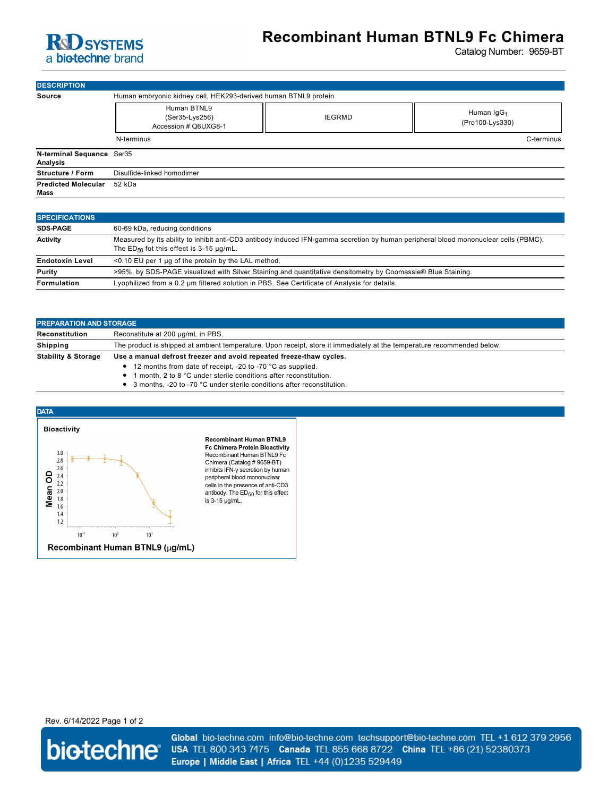

## **Recombinant Human BTNL9 Fc Chimera**

Catalog Number: 9659-BT

**DESCRIPTION Source** Human embryonic kidney cell, HEK293-derived human BTNL9 protein Human BTNL9 (Ser35-Lys256) Accession # Q6UXG8-1 IEGRMD Human IgG<sub>1</sub> (Pro100-Lys330) N-terminus C-terminus **N-terminal Sequence Analysis** Ser35 **Structure / Form** Disulfide-linked homodimer **Predicted Molecular Mass** 52 kDa

| <b>SPECIFICATIONS</b>  |                                                                                                                                                                                            |
|------------------------|--------------------------------------------------------------------------------------------------------------------------------------------------------------------------------------------|
| <b>SDS-PAGE</b>        | 60-69 kDa, reducing conditions                                                                                                                                                             |
| <b>Activity</b>        | Measured by its ability to inhibit anti-CD3 antibody induced IFN-gamma secretion by human peripheral blood mononuclear cells (PBMC).<br>The $ED_{FQ}$ fot this effect is 3-15 $\mu q/mL$ . |
| <b>Endotoxin Level</b> | <0.10 EU per 1 µg of the protein by the LAL method.                                                                                                                                        |
| Purity                 | >95%, by SDS-PAGE visualized with Silver Staining and quantitative densitometry by Coomassie® Blue Staining.                                                                               |
| <b>Formulation</b>     | Lyophilized from a 0.2 um filtered solution in PBS. See Certificate of Analysis for details.                                                                                               |

| <b>PREPARATION AND STORAGE</b> |                                                                                                                                                                                                                                                                                    |
|--------------------------------|------------------------------------------------------------------------------------------------------------------------------------------------------------------------------------------------------------------------------------------------------------------------------------|
| Reconstitution                 | Reconstitute at 200 µg/mL in PBS.                                                                                                                                                                                                                                                  |
| <b>Shipping</b>                | The product is shipped at ambient temperature. Upon receipt, store it immediately at the temperature recommended below.                                                                                                                                                            |
| <b>Stability &amp; Storage</b> | Use a manual defrost freezer and avoid repeated freeze-thaw cycles.<br>• 12 months from date of receipt, -20 to -70 °C as supplied.<br>month, 2 to 8 °C under sterile conditions after reconstitution.<br>• 3 months, -20 to -70 °C under sterile conditions after reconstitution. |



**Recombinant Human BTNL9 Fc Chimera Protein Bioactivity** Recombinant Human BTNL9 Fc Chimera (Catalog # 9659-BT) inhibits IFN-γ secretion by human peripheral blood mononuclear cells in the presence of anti-CD3 antibody. The  $\textsf{ED}_{50}$  for this effect

Rev. 6/14/2022 Page 1 of 2



Global bio-techne.com info@bio-techne.com techsupport@bio-techne.com TEL +1 612 379 2956 USA TEL 800 343 7475 Canada TEL 855 668 8722 China TEL +86 (21) 52380373 Europe | Middle East | Africa TEL +44 (0)1235 529449